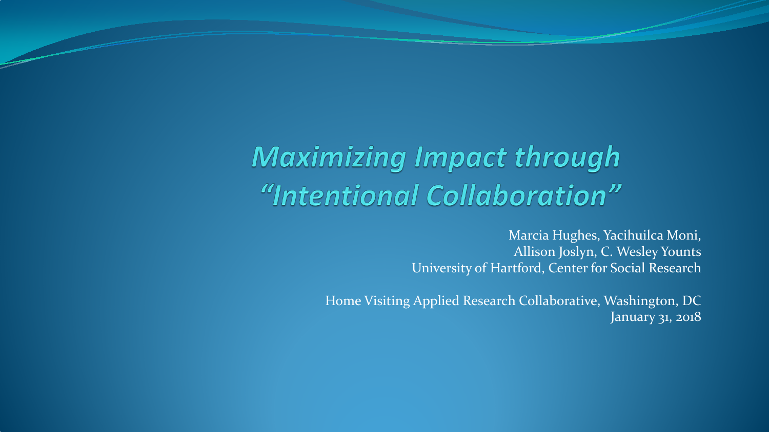## **Maximizing Impact through** "Intentional Collaboration"

Marcia Hughes, Yacihuilca Moni, Allison Joslyn, C. Wesley Younts University of Hartford, Center for Social Research

Home Visiting Applied Research Collaborative, Washington, DC January 31, 2018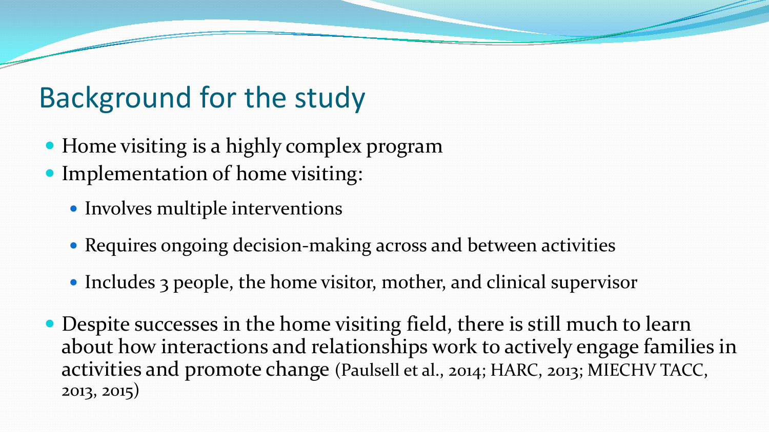## Background for the study

- Home visiting is a highly complex program
- Implementation of home visiting:
	- Involves multiple interventions
	- Requires ongoing decision-making across and between activities
	- Includes 3 people, the home visitor, mother, and clinical supervisor
- Despite successes in the home visiting field, there is still much to learn about how interactions and relationships work to actively engage families in activities and promote change (Paulsell et al., 2014; HARC, 2013; MIECHV TACC, 2013, 2015)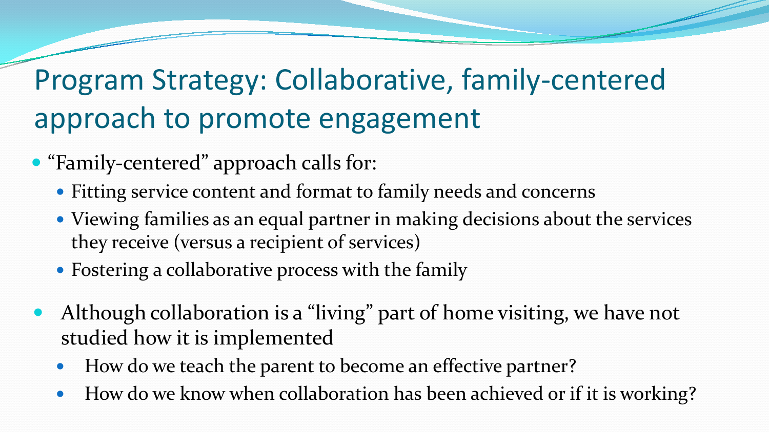# Program Strategy: Collaborative, family-centered approach to promote engagement

- "Family-centered" approach calls for:
	- Fitting service content and format to family needs and concerns
	- Viewing families as an equal partner in making decisions about the services they receive (versus a recipient of services)
	- Fostering a collaborative process with the family
	- Although collaboration is a "living" part of home visiting, we have not studied how it is implemented
		- How do we teach the parent to become an effective partner?
		- How do we know when collaboration has been achieved or if it is working?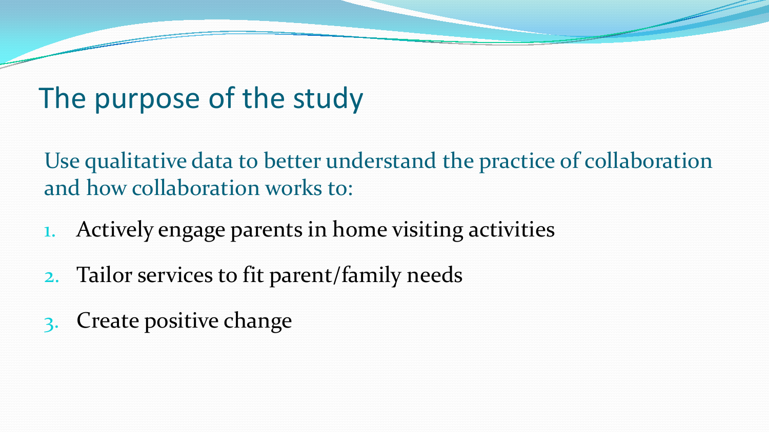## The purpose of the study

Use qualitative data to better understand the practice of collaboration and how collaboration works to:

- 1. Actively engage parents in home visiting activities
- 2. Tailor services to fit parent/family needs
- 3. Create positive change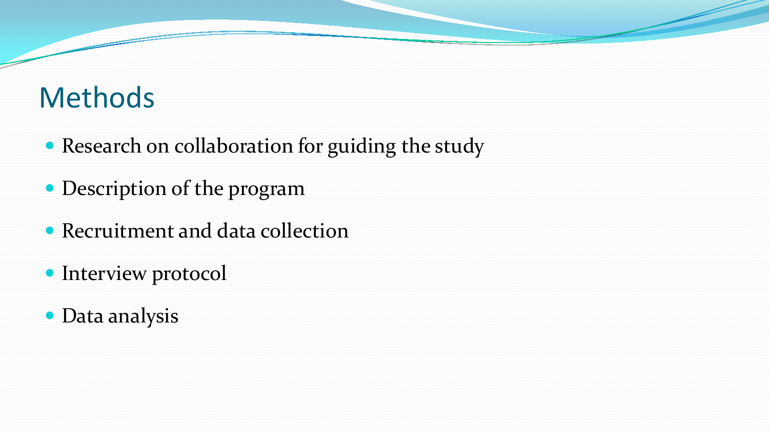## Methods

- Research on collaboration for guiding the study
- Description of the program
- Recruitment and data collection
- Interview protocol
- Data analysis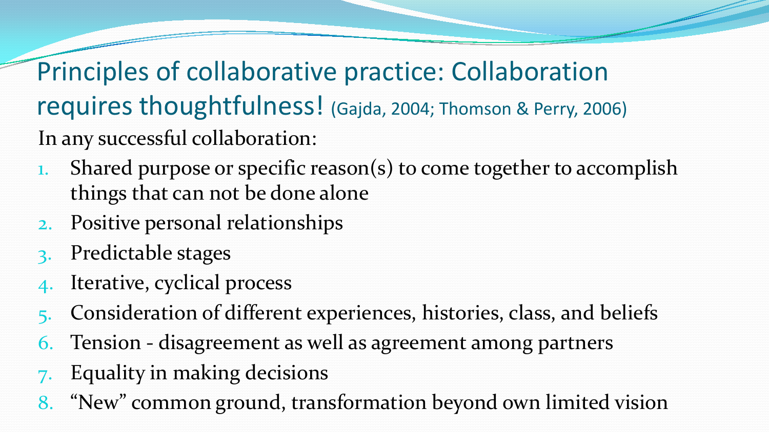Principles of collaborative practice: Collaboration requires thoughtfulness! (Gajda, 2004; Thomson & Perry, 2006) In any successful collaboration:

- 1. Shared purpose or specific reason(s) to come together to accomplish things that can not be done alone
- 2. Positive personal relationships
- 3. Predictable stages
- Iterative, cyclical process
- 5. Consideration of different experiences, histories, class, and beliefs
- 6. Tension disagreement as well as agreement among partners
- 7. Equality in making decisions
- 8. "New" common ground, transformation beyond own limited vision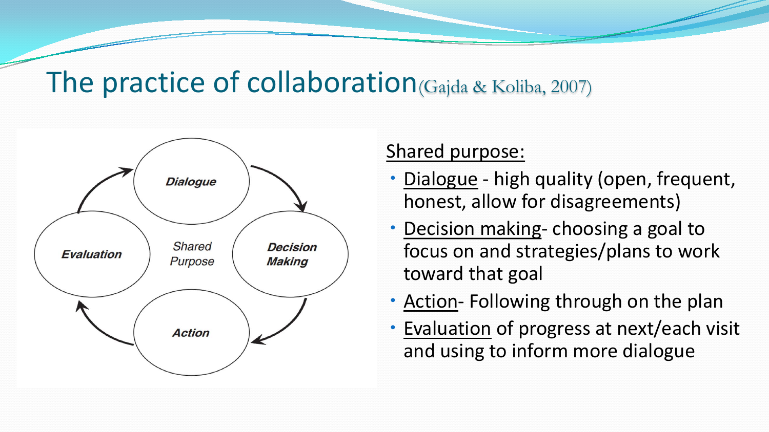### The practice of collaboration(Gajda & Koliba, 2007)



#### Shared purpose:

- Dialogue high quality (open, frequent, honest, allow for disagreements)
- Decision making- choosing a goal to focus on and strategies/plans to work toward that goal
- Action- Following through on the plan
- Evaluation of progress at next/each visit and using to inform more dialogue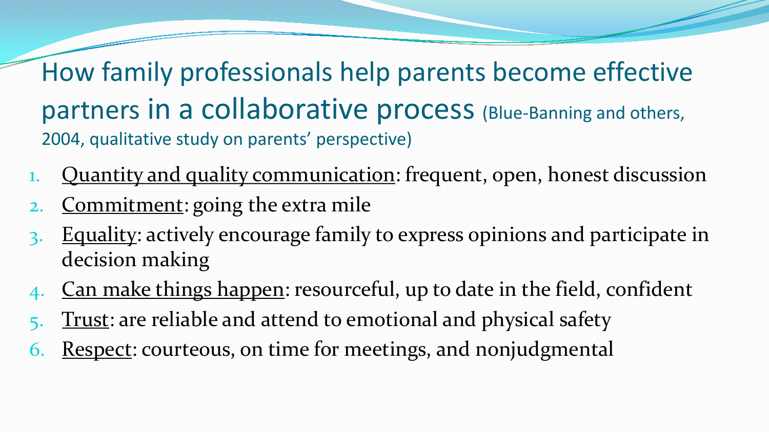How family professionals help parents become effective partners in a collaborative process (Blue-Banning and others, 2004, qualitative study on parents' perspective)

- Quantity and quality communication: frequent, open, honest discussion
- Commitment: going the extra mile
- Equality: actively encourage family to express opinions and participate in decision making
- 4. Can make things happen: resourceful, up to date in the field, confident
- Trust: are reliable and attend to emotional and physical safety
- Respect: courteous, on time for meetings, and nonjudgmental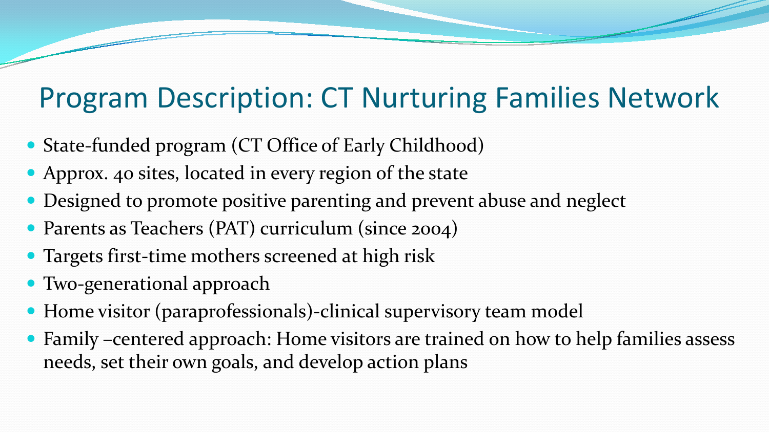## Program Description: CT Nurturing Families Network

- State-funded program (CT Office of Early Childhood)
- Approx. 40 sites, located in every region of the state
- Designed to promote positive parenting and prevent abuse and neglect
- Parents as Teachers (PAT) curriculum (since 2004)
- Targets first-time mothers screened at high risk
- Two-generational approach
- Home visitor (paraprofessionals)-clinical supervisory team model
- Family –centered approach: Home visitors are trained on how to help families assess needs, set their own goals, and develop action plans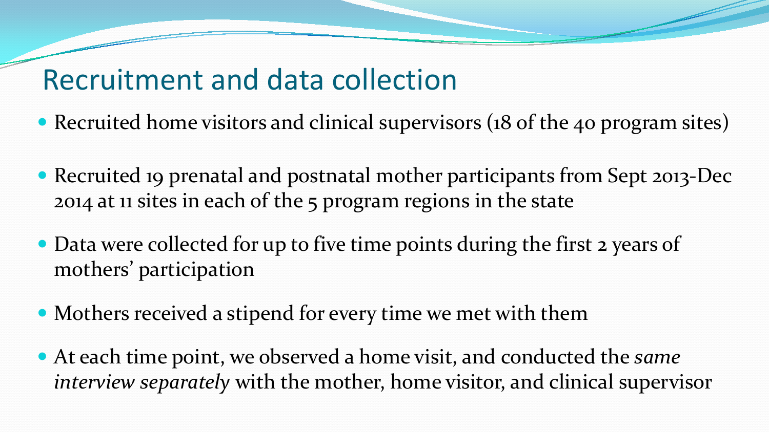## Recruitment and data collection

- Recruited home visitors and clinical supervisors (18 of the 40 program sites)
- Recruited 19 prenatal and postnatal mother participants from Sept 2013-Dec 2014 at 11 sites in each of the 5 program regions in the state
- Data were collected for up to five time points during the first 2 years of mothers' participation
- Mothers received a stipend for every time we met with them
- At each time point, we observed a home visit, and conducted the *same interview separately* with the mother, home visitor, and clinical supervisor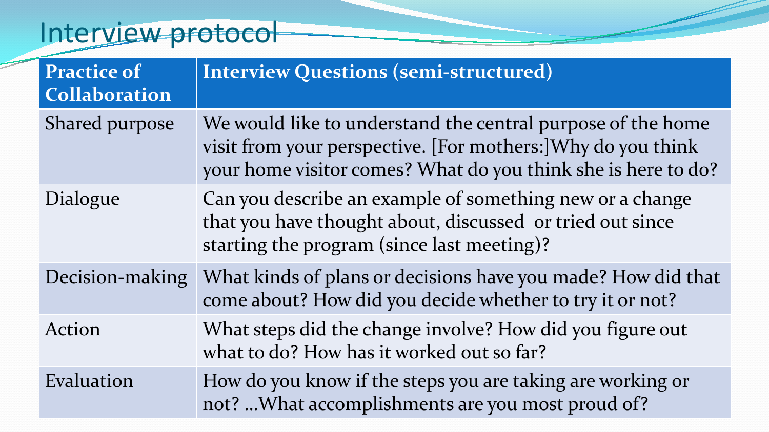## Interview protocol

| <b>Practice of</b><br><b>Collaboration</b> | <b>Interview Questions (semi-structured)</b>                                                                                                                                                 |
|--------------------------------------------|----------------------------------------------------------------------------------------------------------------------------------------------------------------------------------------------|
| Shared purpose                             | We would like to understand the central purpose of the home<br>visit from your perspective. [For mothers:] Why do you think<br>your home visitor comes? What do you think she is here to do? |
| Dialogue                                   | Can you describe an example of something new or a change<br>that you have thought about, discussed or tried out since<br>starting the program (since last meeting)?                          |
| Decision-making                            | What kinds of plans or decisions have you made? How did that<br>come about? How did you decide whether to try it or not?                                                                     |
| Action                                     | What steps did the change involve? How did you figure out<br>what to do? How has it worked out so far?                                                                                       |
| Evaluation                                 | How do you know if the steps you are taking are working or<br>not?  What accomplishments are you most proud of?                                                                              |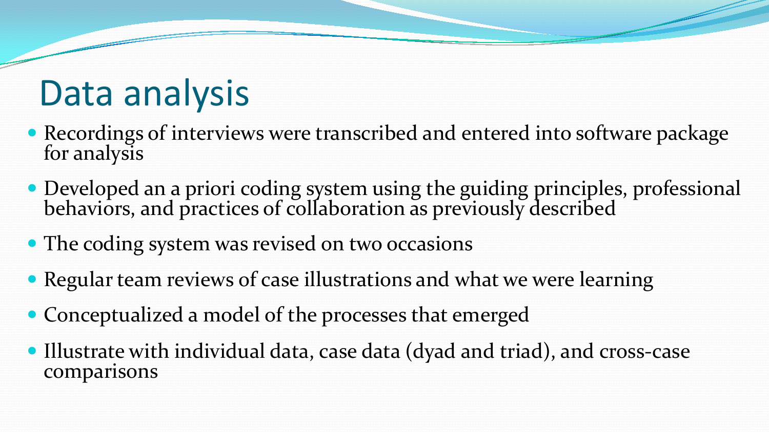# Data analysis

- Recordings of interviews were transcribed and entered into software package for analysis
- Developed an a priori coding system using the guiding principles, professional behaviors, and practices of collaboration as previously described
- The coding system was revised on two occasions
- Regular team reviews of case illustrations and what we were learning
- Conceptualized a model of the processes that emerged
- Illustrate with individual data, case data (dyad and triad), and cross-case comparisons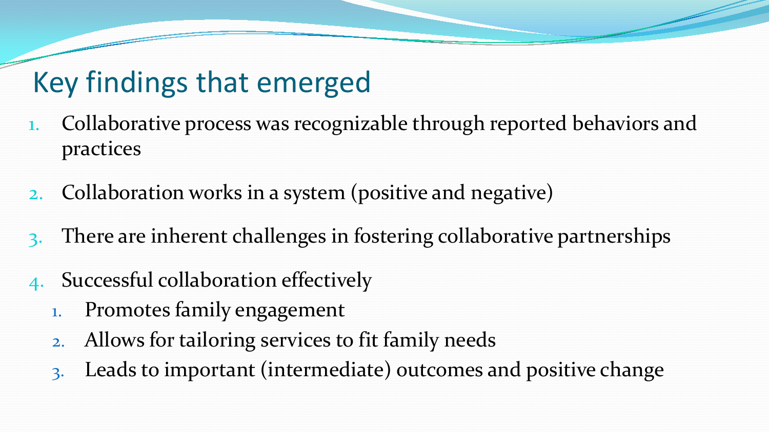## Key findings that emerged

- 1. Collaborative process was recognizable through reported behaviors and practices
- 2. Collaboration works in a system (positive and negative)
- There are inherent challenges in fostering collaborative partnerships
- Successful collaboration effectively
	- 1. Promotes family engagement
	- 2. Allows for tailoring services to fit family needs
	- 3. Leads to important (intermediate) outcomes and positive change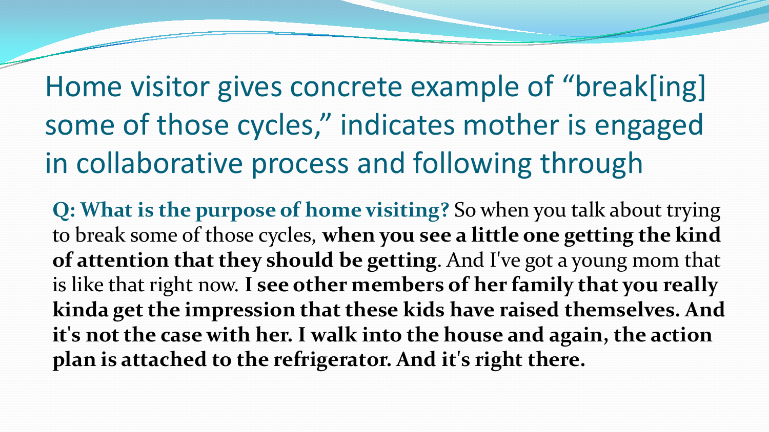Home visitor gives concrete example of "break[ing] some of those cycles," indicates mother is engaged in collaborative process and following through

**Q: What is the purpose of home visiting?** So when you talk about trying to break some of those cycles, **when you see a little one getting the kind of attention that they should be getting**. And I've got a young mom that is like that right now. **I see other members of her family that you really kinda get the impression that these kids have raised themselves. And it's not the case with her. I walk into the house and again, the action plan is attached to the refrigerator. And it's right there.**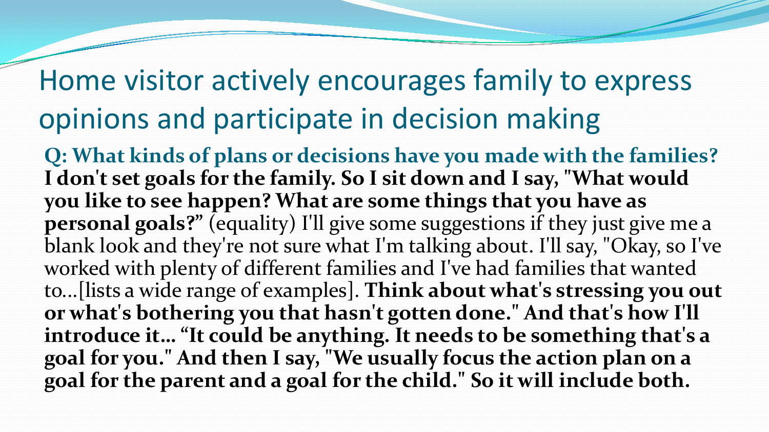## Home visitor actively encourages family to express opinions and participate in decision making

**Q: What kinds of plans or decisions have you made with the families? I don't set goals for the family. So I sit down and I say, "What would you like to see happen? What are some things that you have as personal goals?"** (equality) I'll give some suggestions if they just give me a blank look and they're not sure what I'm talking about. I'll say, "Okay, so I've worked with plenty of different families and I've had families that wanted to...[lists a wide range of examples]. **Think about what's stressing you out or what's bothering you that hasn't gotten done." And that's how I'll introduce it… "It could be anything. It needs to be something that's a goal for you." And then I say, "We usually focus the action plan on a goal for the parent and a goal for the child." So it will include both.**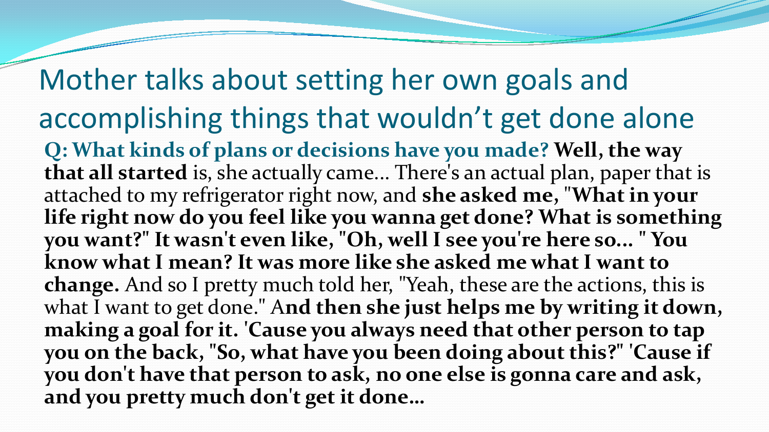Mother talks about setting her own goals and accomplishing things that wouldn't get done alone **Q: What kinds of plans or decisions have you made? Well, the way that all started** is, she actually came... There's an actual plan, paper that is attached to my refrigerator right now, and **she asked me,** "**What in your life right now do you feel like you wanna get done? What is something you want?" It wasn't even like, "Oh, well I see you're here so... " You know what I mean? It was more like she asked me what I want to change.** And so I pretty much told her, "Yeah, these are the actions, this is what I want to get done." A**nd then she just helps me by writing it down, making a goal for it. 'Cause you always need that other person to tap you on the back, "So, what have you been doing about this?" 'Cause if you don't have that person to ask, no one else is gonna care and ask, and you pretty much don't get it done…**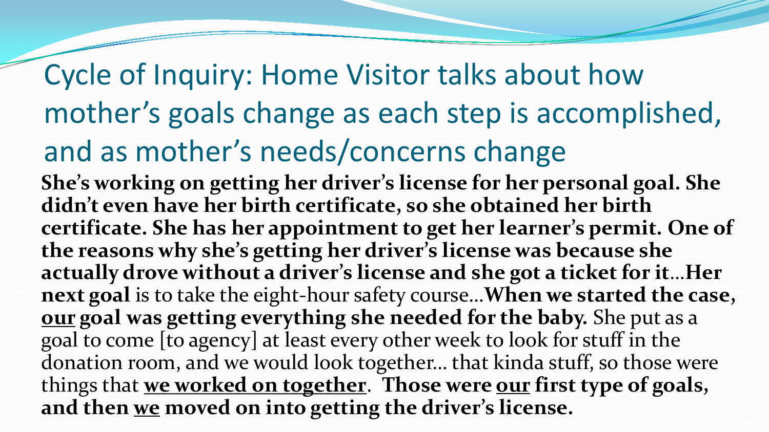# Cycle of Inquiry: Home Visitor talks about how mother's goals change as each step is accomplished, and as mother's needs/concerns change

**She's working on getting her driver's license for her personal goal. She didn't even have her birth certificate, so she obtained her birth certificate. She has her appointment to get her learner's permit. One of the reasons why she's getting her driver's license was because she actually drove without a driver's license and she got a ticket for it**…**Her next goal** is to take the eight-hour safety course…**When we started the case, our goal was getting everything she needed for the baby.** She put as a goal to come [to agency] at least every other week to look for stuff in the donation room, and we would look together… that kinda stuff, so those were things that **we worked on together**. **Those were our first type of goals, and then we moved on into getting the driver's license.**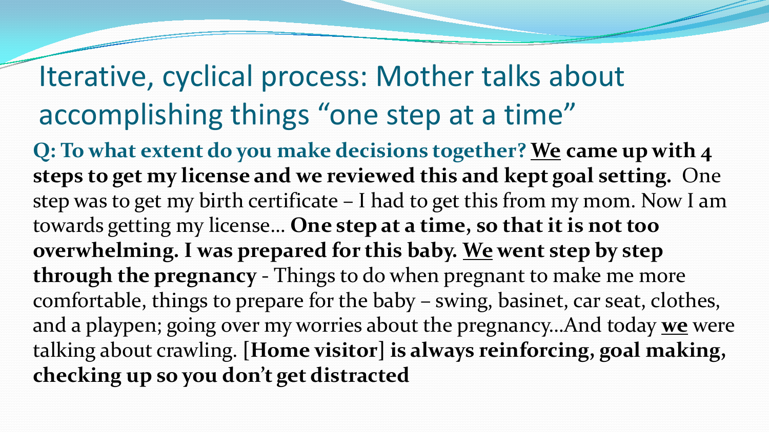## Iterative, cyclical process: Mother talks about accomplishing things "one step at a time"

**Q: To what extent do you make decisions together? We came up with 4 steps to get my license and we reviewed this and kept goal setting.** One step was to get my birth certificate – I had to get this from my mom. Now I am towards getting my license… **One step at a time, so that it is not too overwhelming. I was prepared for this baby. We went step by step through the pregnancy** - Things to do when pregnant to make me more comfortable, things to prepare for the baby – swing, basinet, car seat, clothes, and a playpen; going over my worries about the pregnancy…And today **we** were talking about crawling. **[Home visitor] is always reinforcing, goal making, checking up so you don't get distracted**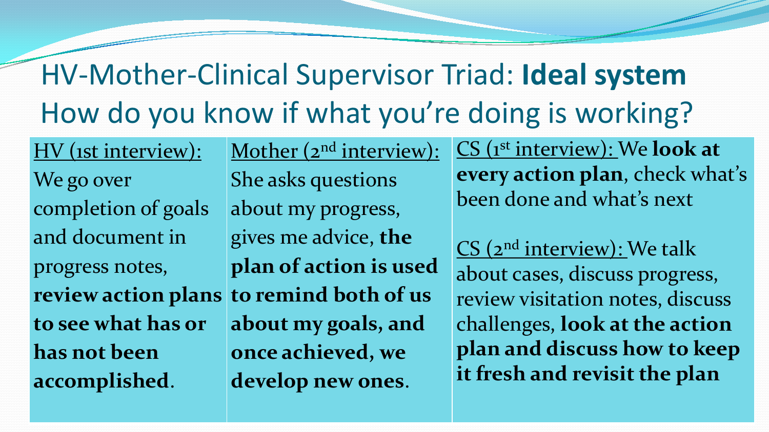# HV-Mother-Clinical Supervisor Triad: **Ideal system** How do you know if what you're doing is working?

HV (1st interview): We go over completion of goals and document in progress notes, **to see what has or has not been accomplished**.

**review action plans to remind both of us**  Mother (2<sup>nd</sup> interview): She asks questions about my progress, gives me advice, **the plan of action is used about my goals, and once achieved, we develop new ones**.

CS (1st interview): We **look at every action plan**, check what's been done and what's next

CS (2<sup>nd</sup> interview): We talk about cases, discuss progress, review visitation notes, discuss challenges, **look at the action plan and discuss how to keep it fresh and revisit the plan**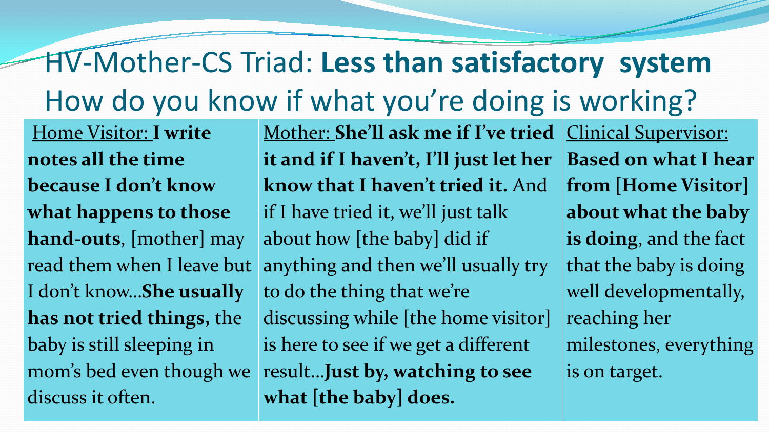## HV-Mother-CS Triad: **Less than satisfactory system** How do you know if what you're doing is working?

Home Visitor: **I write notes all the time because I don't know what happens to those hand-outs**, [mother] may read them when I leave but I don't know…**She usually has not tried things,** the baby is still sleeping in mom's bed even though we discuss it often.

Mother: **She'll ask me if I've tried it and if I haven't, I'll just let her know that I haven't tried it.** And if I have tried it, we'll just talk about how [the baby] did if anything and then we'll usually try to do the thing that we're discussing while [the home visitor] is here to see if we get a different result…**Just by, watching to see what [the baby] does.**

Clinical Supervisor: **Based on what I hear from [Home Visitor] about what the baby is doing**, and the fact that the baby is doing well developmentally, reaching her milestones, everything is on target.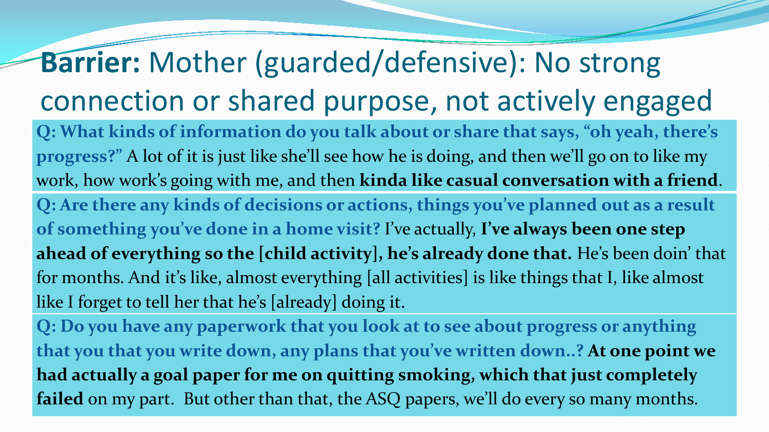# **Barrier:** Mother (guarded/defensive): No strong connection or shared purpose, not actively engaged

**Q: What kinds of information do you talk about or share that says, "oh yeah, there's progress?"** A lot of it is just like she'll see how he is doing, and then we'll go on to like my work, how work's going with me, and then **kinda like casual conversation with a friend**. **Q: Are there any kinds of decisions or actions, things you've planned out as a result of something you've done in a home visit?** I've actually, **I've always been one step ahead of everything so the [child activity], he's already done that.** He's been doin' that for months. And it's like, almost everything [all activities] is like things that I, like almost like I forget to tell her that he's [already] doing it.

**Q: Do you have any paperwork that you look at to see about progress or anything that you that you write down, any plans that you've written down..? At one point we had actually a goal paper for me on quitting smoking, which that just completely failed** on my part. But other than that, the ASQ papers, we'll do every so many months.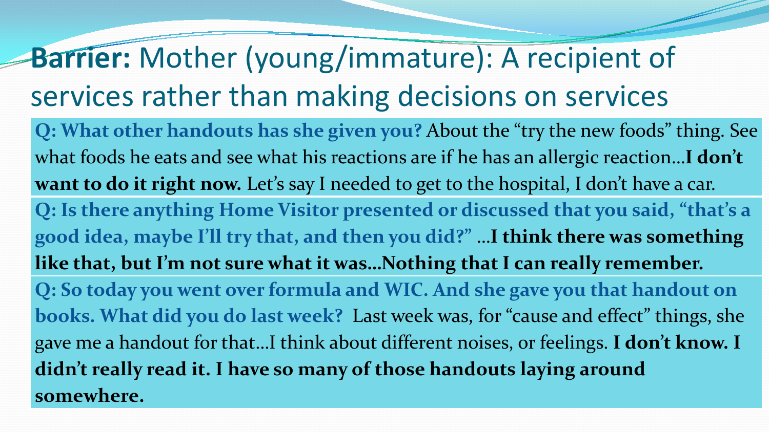### **Barrier:** Mother (young/immature): A recipient of services rather than making decisions on services **Q: What other handouts has she given you?** About the "try the new foods" thing. See what foods he eats and see what his reactions are if he has an allergic reaction…**I don't want to do it right now.** Let's say I needed to get to the hospital, I don't have a car. **Q: Is there anything Home Visitor presented or discussed that you said, "that's a good idea, maybe I'll try that, and then you did?"** …**I think there was something like that, but I'm not sure what it was…Nothing that I can really remember. Q: So today you went over formula and WIC. And she gave you that handout on books. What did you do last week?** Last week was, for "cause and effect" things, she gave me a handout for that…I think about different noises, or feelings. **I don't know. I**

**didn't really read it. I have so many of those handouts laying around** 

**somewhere.**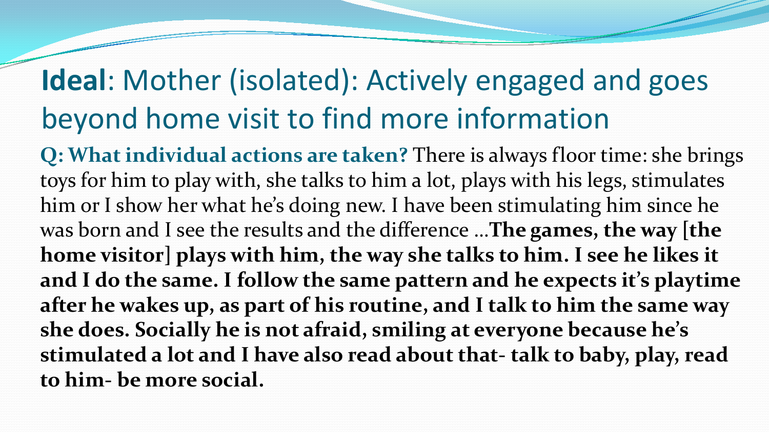## **Ideal**: Mother (isolated): Actively engaged and goes beyond home visit to find more information

**Q: What individual actions are taken?** There is always floor time: she brings toys for him to play with, she talks to him a lot, plays with his legs, stimulates him or I show her what he's doing new. I have been stimulating him since he was born and I see the results and the difference …**The games, the way [the home visitor] plays with him, the way she talks to him. I see he likes it and I do the same. I follow the same pattern and he expects it's playtime after he wakes up, as part of his routine, and I talk to him the same way she does. Socially he is not afraid, smiling at everyone because he's stimulated a lot and I have also read about that- talk to baby, play, read to him- be more social.**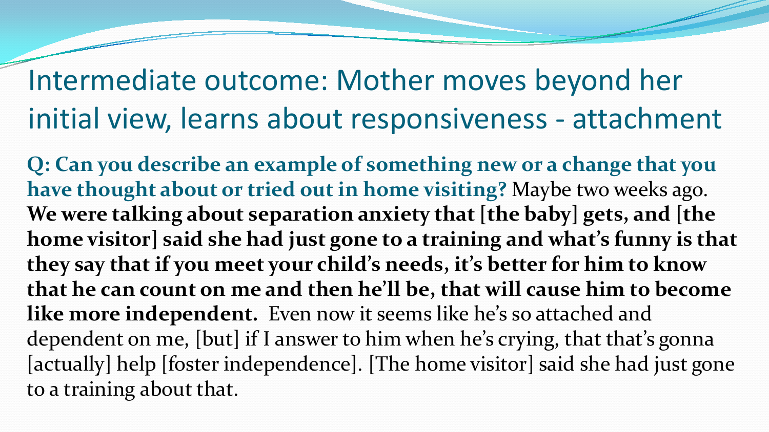## Intermediate outcome: Mother moves beyond her initial view, learns about responsiveness - attachment

**Q: Can you describe an example of something new or a change that you have thought about or tried out in home visiting?** Maybe two weeks ago. **We were talking about separation anxiety that [the baby] gets, and [the home visitor] said she had just gone to a training and what's funny is that they say that if you meet your child's needs, it's better for him to know that he can count on me and then he'll be, that will cause him to become like more independent.** Even now it seems like he's so attached and dependent on me, [but] if I answer to him when he's crying, that that's gonna [actually] help [foster independence]. [The home visitor] said she had just gone to a training about that.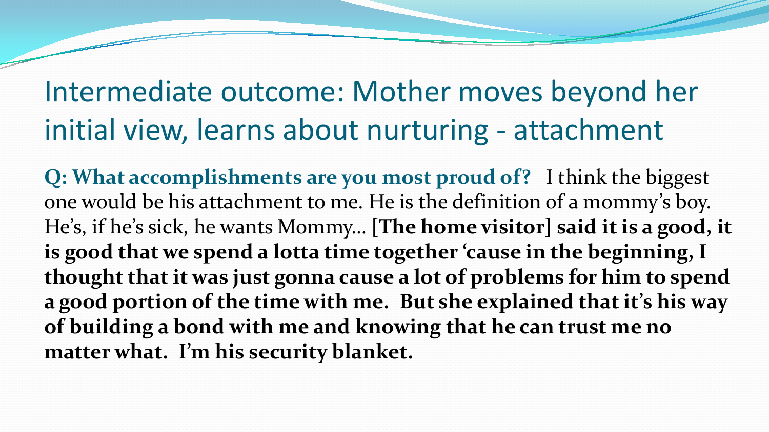## Intermediate outcome: Mother moves beyond her initial view, learns about nurturing - attachment

**Q: What accomplishments are you most proud of?** I think the biggest one would be his attachment to me. He is the definition of a mommy's boy. He's, if he's sick, he wants Mommy… **[The home visitor] said it is a good, it is good that we spend a lotta time together 'cause in the beginning, I thought that it was just gonna cause a lot of problems for him to spend a good portion of the time with me. But she explained that it's his way of building a bond with me and knowing that he can trust me no matter what. I'm his security blanket.**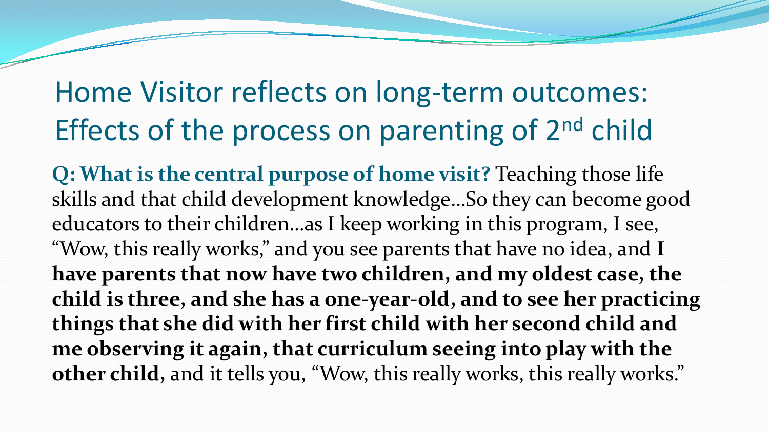## Home Visitor reflects on long-term outcomes: Effects of the process on parenting of 2<sup>nd</sup> child

**Q: What is the central purpose of home visit?** Teaching those life skills and that child development knowledge…So they can become good educators to their children…as I keep working in this program, I see, "Wow, this really works," and you see parents that have no idea, and **I have parents that now have two children, and my oldest case, the child is three, and she has a one-year-old, and to see her practicing things that she did with her first child with her second child and me observing it again, that curriculum seeing into play with the other child,** and it tells you, "Wow, this really works, this really works."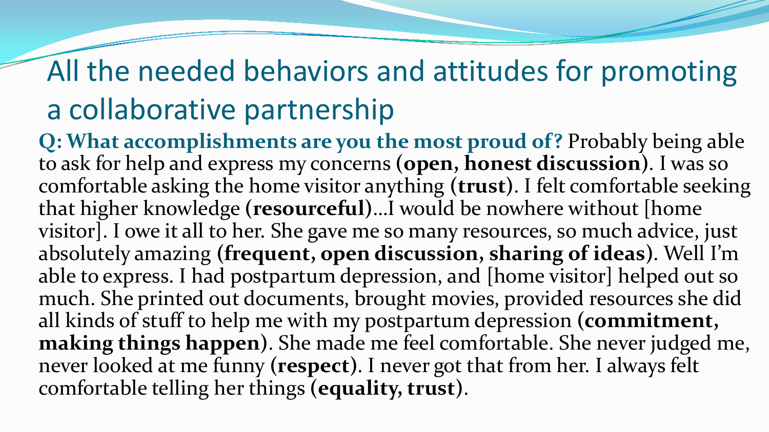## All the needed behaviors and attitudes for promoting a collaborative partnership

**Q: What accomplishments are you the most proud of?** Probably being able to ask for help and express my concerns **(open, honest discussion)**. I was so comfortable asking the home visitor anything **(trust)**. I felt comfortable seeking that higher knowledge **(resourceful)**…I would be nowhere without [home visitor]. I owe it all to her. She gave me so many resources, so much advice, just absolutely amazing **(frequent, open discussion, sharing of ideas)**. Well I'm able to express. I had postpartum depression, and [home visitor] helped out so much. She printed out documents, brought movies, provided resources she did all kinds of stuff to help me with my postpartum depression **(commitment, making things happen)**. She made me feel comfortable. She never judged me, never looked at me funny **(respect)**. I never got that from her. I always felt comfortable telling her things **(equality, trust)**.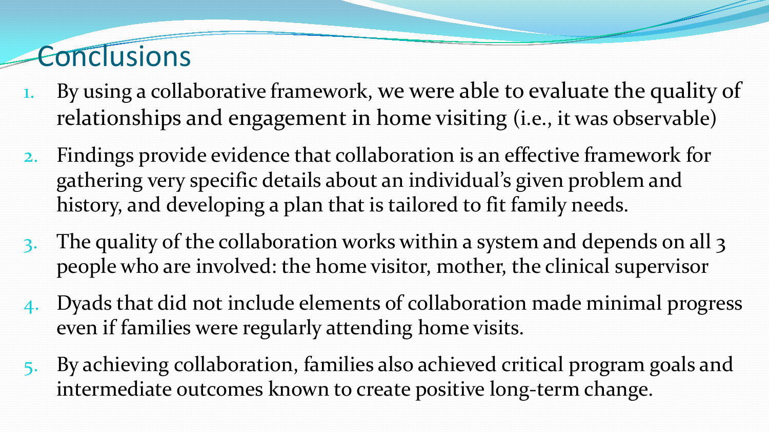## **Conclusions**

- 1. By using a collaborative framework, we were able to evaluate the quality of relationships and engagement in home visiting (i.e., it was observable)
- 2. Findings provide evidence that collaboration is an effective framework for gathering very specific details about an individual's given problem and history, and developing a plan that is tailored to fit family needs.
- 3. The quality of the collaboration works within a system and depends on all 3 people who are involved: the home visitor, mother, the clinical supervisor
- 4. Dyads that did not include elements of collaboration made minimal progress even if families were regularly attending home visits.
- 5. By achieving collaboration, families also achieved critical program goals and intermediate outcomes known to create positive long-term change.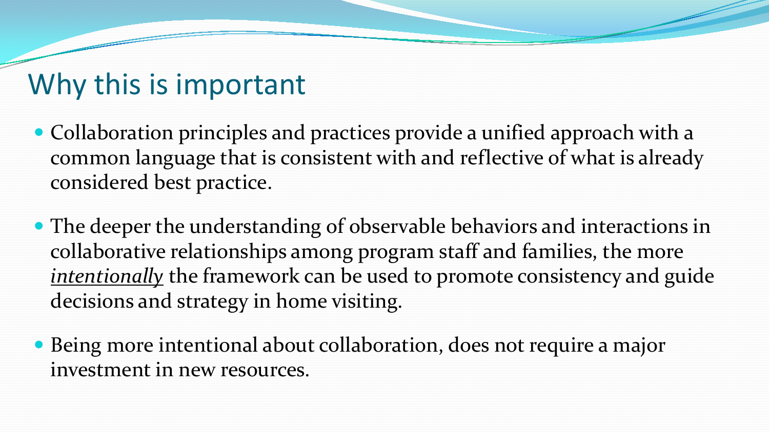## Why this is important

- Collaboration principles and practices provide a unified approach with a common language that is consistent with and reflective of what is already considered best practice.
- The deeper the understanding of observable behaviors and interactions in collaborative relationships among program staff and families, the more *intentionally* the framework can be used to promote consistency and guide decisions and strategy in home visiting.
- Being more intentional about collaboration, does not require a major investment in new resources.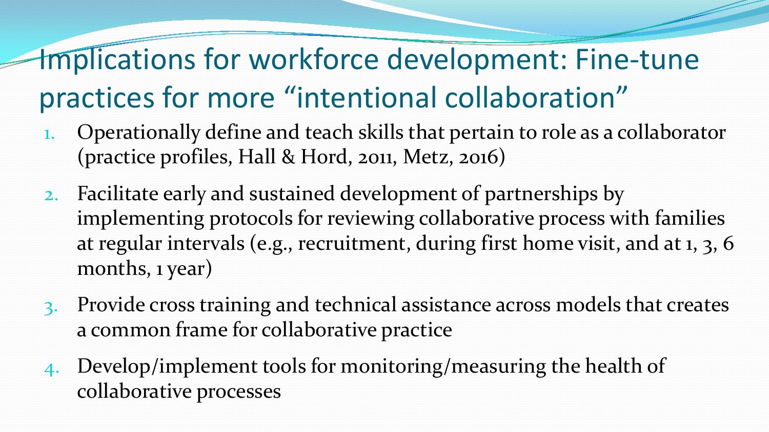# Implications for workforce development: Fine-tune practices for more "intentional collaboration"

- 1. Operationally define and teach skills that pertain to role as a collaborator (practice profiles, Hall & Hord, 2011, Metz, 2016)
- 2. Facilitate early and sustained development of partnerships by implementing protocols for reviewing collaborative process with families at regular intervals (e.g., recruitment, during first home visit, and at 1, 3, 6 months, 1 year)
- 3. Provide cross training and technical assistance across models that creates a common frame for collaborative practice
- 4. Develop/implement tools for monitoring/measuring the health of collaborative processes